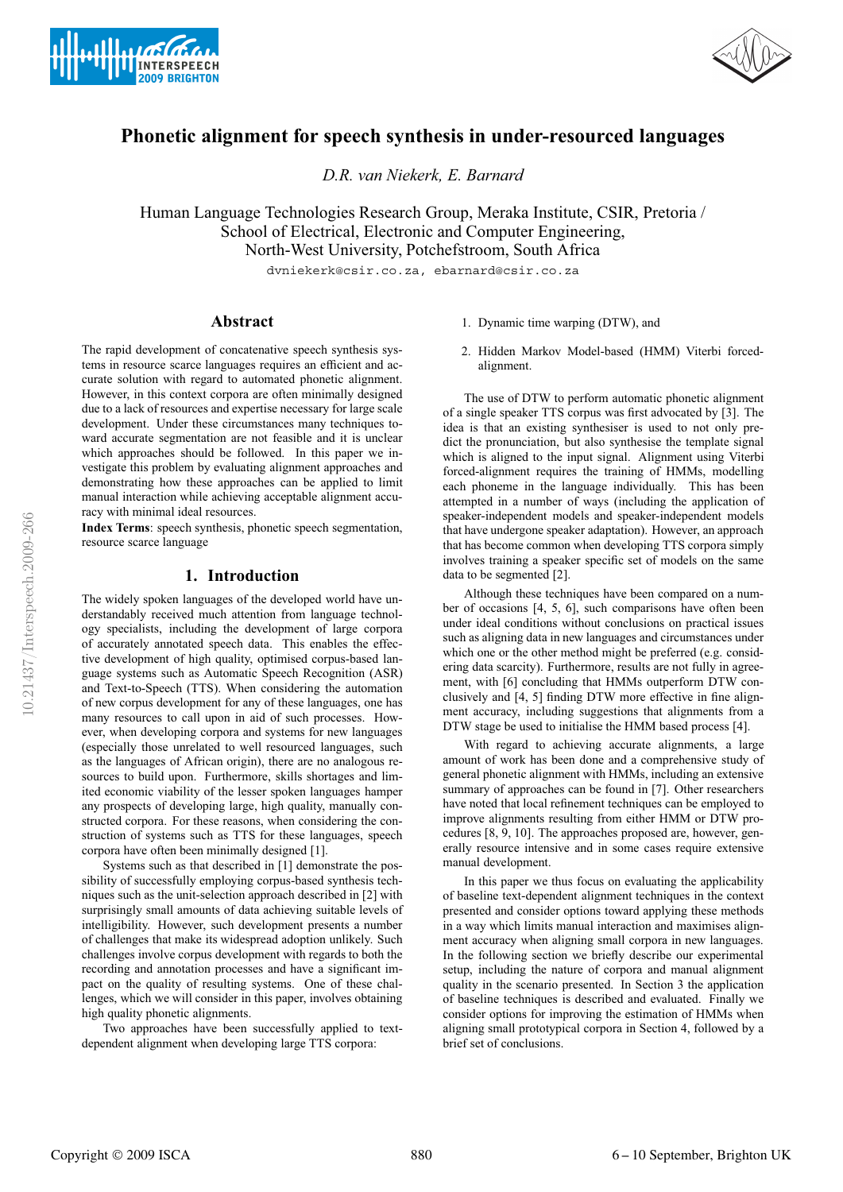



# **Phonetic alignment for speech synthesis in under-resourced languages**

*D.R. van Niekerk, E. Barnard*

Human Language Technologies Research Group, Meraka Institute, CSIR, Pretoria / School of Electrical, Electronic and Computer Engineering, North-West University, Potchefstroom, South Africa

dvniekerk@csir.co.za, ebarnard@csir.co.za

# **Abstract**

The rapid development of concatenative speech synthesis systems in resource scarce languages requires an efficient and accurate solution with regard to automated phonetic alignment. However, in this context corpora are often minimally designed due to a lack of resources and expertise necessary for large scale development. Under these circumstances many techniques toward accurate segmentation are not feasible and it is unclear which approaches should be followed. In this paper we investigate this problem by evaluating alignment approaches and demonstrating how these approaches can be applied to limit manual interaction while achieving acceptable alignment accuracy with minimal ideal resources.

**Index Terms**: speech synthesis, phonetic speech segmentation, resource scarce language

### **1. Introduction**

The widely spoken languages of the developed world have understandably received much attention from language technology specialists, including the development of large corpora of accurately annotated speech data. This enables the effective development of high quality, optimised corpus-based language systems such as Automatic Speech Recognition (ASR) and Text-to-Speech (TTS). When considering the automation of new corpus development for any of these languages, one has many resources to call upon in aid of such processes. However, when developing corpora and systems for new languages (especially those unrelated to well resourced languages, such as the languages of African origin), there are no analogous resources to build upon. Furthermore, skills shortages and limited economic viability of the lesser spoken languages hamper any prospects of developing large, high quality, manually constructed corpora. For these reasons, when considering the construction of systems such as TTS for these languages, speech corpora have often been minimally designed [1].

Systems such as that described in [1] demonstrate the possibility of successfully employing corpus-based synthesis techniques such as the unit-selection approach described in [2] with surprisingly small amounts of data achieving suitable levels of intelligibility. However, such development presents a number of challenges that make its widespread adoption unlikely. Such challenges involve corpus development with regards to both the recording and annotation processes and have a significant impact on the quality of resulting systems. One of these challenges, which we will consider in this paper, involves obtaining high quality phonetic alignments.

Two approaches have been successfully applied to textdependent alignment when developing large TTS corpora:

- 1. Dynamic time warping (DTW), and
- 2. Hidden Markov Model-based (HMM) Viterbi forcedalignment.

The use of DTW to perform automatic phonetic alignment of a single speaker TTS corpus was first advocated by [3]. The idea is that an existing synthesiser is used to not only predict the pronunciation, but also synthesise the template signal which is aligned to the input signal. Alignment using Viterbi forced-alignment requires the training of HMMs, modelling each phoneme in the language individually. This has been attempted in a number of ways (including the application of speaker-independent models and speaker-independent models that have undergone speaker adaptation). However, an approach that has become common when developing TTS corpora simply involves training a speaker specific set of models on the same data to be segmented [2].

Although these techniques have been compared on a number of occasions [4, 5, 6], such comparisons have often been under ideal conditions without conclusions on practical issues such as aligning data in new languages and circumstances under which one or the other method might be preferred (e.g. considering data scarcity). Furthermore, results are not fully in agreement, with [6] concluding that HMMs outperform DTW conclusively and [4, 5] finding DTW more effective in fine alignment accuracy, including suggestions that alignments from a DTW stage be used to initialise the HMM based process [4].

With regard to achieving accurate alignments, a large amount of work has been done and a comprehensive study of general phonetic alignment with HMMs, including an extensive summary of approaches can be found in [7]. Other researchers have noted that local refinement techniques can be employed to improve alignments resulting from either HMM or DTW procedures [8, 9, 10]. The approaches proposed are, however, generally resource intensive and in some cases require extensive manual development.

In this paper we thus focus on evaluating the applicability of baseline text-dependent alignment techniques in the context presented and consider options toward applying these methods in a way which limits manual interaction and maximises alignment accuracy when aligning small corpora in new languages. In the following section we briefly describe our experimental setup, including the nature of corpora and manual alignment quality in the scenario presented. In Section 3 the application of baseline techniques is described and evaluated. Finally we consider options for improving the estimation of HMMs when aligning small prototypical corpora in Section 4, followed by a brief set of conclusions.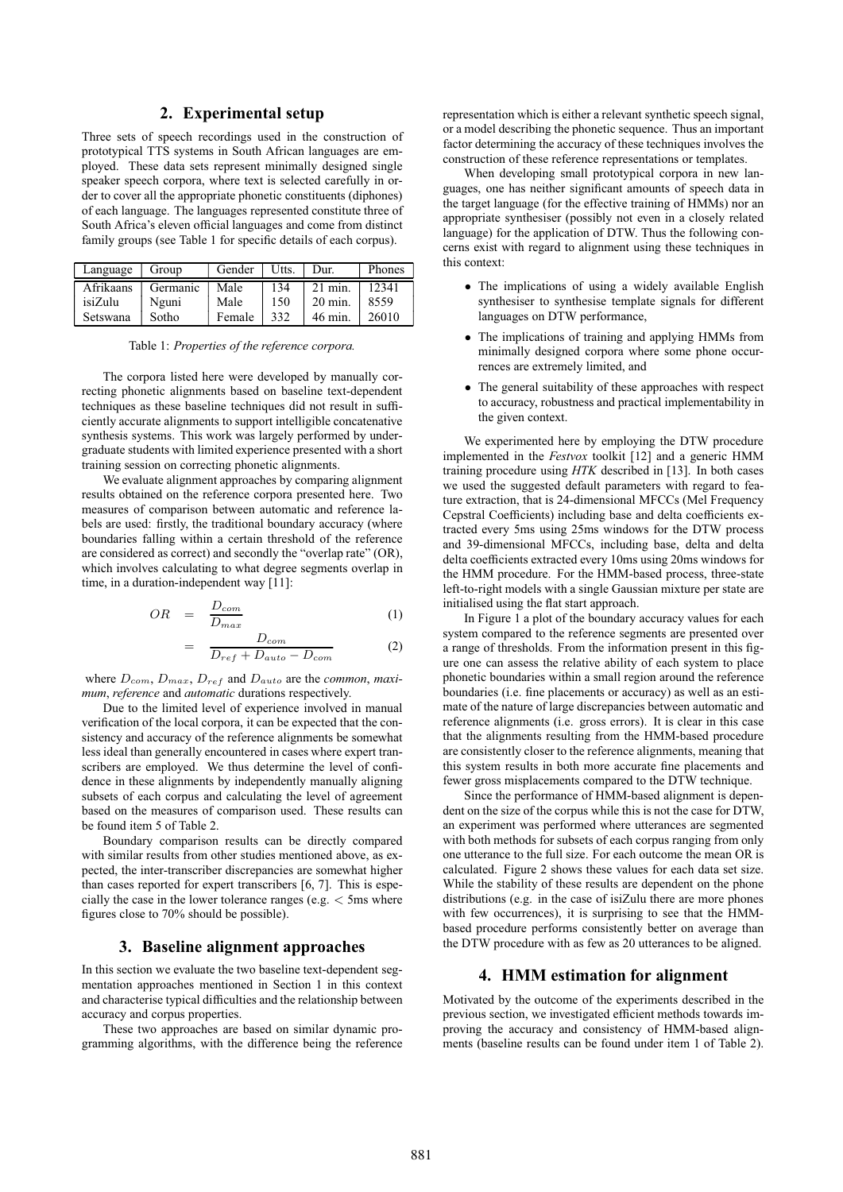# **2. Experimental setup**

Three sets of speech recordings used in the construction of prototypical TTS systems in South African languages are employed. These data sets represent minimally designed single speaker speech corpora, where text is selected carefully in order to cover all the appropriate phonetic constituents (diphones) of each language. The languages represented constitute three of South Africa's eleven official languages and come from distinct family groups (see Table 1 for specific details of each corpus).

| Language  | Group    | Gender | Utts. | Dur.              | Phones |
|-----------|----------|--------|-------|-------------------|--------|
| Afrikaans | Germanic | Male   | 134   | $21$ min.         | 12341  |
| isiZulu   | Nguni    | Male   | 150   | $20 \text{ min.}$ | 8559   |
| Setswana  | Sotho    | Female | 332   | 46 min.           | 26010  |

Table 1: *Properties of the reference corpora.*

The corpora listed here were developed by manually correcting phonetic alignments based on baseline text-dependent techniques as these baseline techniques did not result in sufficiently accurate alignments to support intelligible concatenative synthesis systems. This work was largely performed by undergraduate students with limited experience presented with a short training session on correcting phonetic alignments.

We evaluate alignment approaches by comparing alignment results obtained on the reference corpora presented here. Two measures of comparison between automatic and reference labels are used: firstly, the traditional boundary accuracy (where boundaries falling within a certain threshold of the reference are considered as correct) and secondly the "overlap rate" (OR), which involves calculating to what degree segments overlap in time, in a duration-independent way [11]:

$$
OR = \frac{D_{com}}{D_{max}} \tag{1}
$$

$$
= \frac{D_{com}}{D_{ref} + D_{auto} - D_{com}} \tag{2}
$$

where  $D_{com}$ ,  $D_{max}$ ,  $D_{ref}$  and  $D_{auto}$  are the *common*, *maximum*, *reference* and *automatic* durations respectively.

Due to the limited level of experience involved in manual verification of the local corpora, it can be expected that the consistency and accuracy of the reference alignments be somewhat less ideal than generally encountered in cases where expert transcribers are employed. We thus determine the level of confidence in these alignments by independently manually aligning subsets of each corpus and calculating the level of agreement based on the measures of comparison used. These results can be found item 5 of Table 2.

Boundary comparison results can be directly compared with similar results from other studies mentioned above, as expected, the inter-transcriber discrepancies are somewhat higher than cases reported for expert transcribers [6, 7]. This is especially the case in the lower tolerance ranges (e.g.  $<$  5ms where figures close to 70% should be possible).

### **3. Baseline alignment approaches**

In this section we evaluate the two baseline text-dependent segmentation approaches mentioned in Section 1 in this context and characterise typical difficulties and the relationship between accuracy and corpus properties.

These two approaches are based on similar dynamic programming algorithms, with the difference being the reference representation which is either a relevant synthetic speech signal, or a model describing the phonetic sequence. Thus an important factor determining the accuracy of these techniques involves the construction of these reference representations or templates.

When developing small prototypical corpora in new languages, one has neither significant amounts of speech data in the target language (for the effective training of HMMs) nor an appropriate synthesiser (possibly not even in a closely related language) for the application of DTW. Thus the following concerns exist with regard to alignment using these techniques in this context:

- The implications of using a widely available English synthesiser to synthesise template signals for different languages on DTW performance,
- The implications of training and applying HMMs from minimally designed corpora where some phone occurrences are extremely limited, and
- The general suitability of these approaches with respect to accuracy, robustness and practical implementability in the given context.

We experimented here by employing the DTW procedure implemented in the *Festvox* toolkit [12] and a generic HMM training procedure using *HTK* described in [13]. In both cases we used the suggested default parameters with regard to feature extraction, that is 24-dimensional MFCCs (Mel Frequency Cepstral Coefficients) including base and delta coefficients extracted every 5ms using 25ms windows for the DTW process and 39-dimensional MFCCs, including base, delta and delta delta coefficients extracted every 10ms using 20ms windows for the HMM procedure. For the HMM-based process, three-state left-to-right models with a single Gaussian mixture per state are initialised using the flat start approach.

In Figure 1 a plot of the boundary accuracy values for each system compared to the reference segments are presented over a range of thresholds. From the information present in this figure one can assess the relative ability of each system to place phonetic boundaries within a small region around the reference boundaries (i.e. fine placements or accuracy) as well as an estimate of the nature of large discrepancies between automatic and reference alignments (i.e. gross errors). It is clear in this case that the alignments resulting from the HMM-based procedure are consistently closer to the reference alignments, meaning that this system results in both more accurate fine placements and fewer gross misplacements compared to the DTW technique.

Since the performance of HMM-based alignment is dependent on the size of the corpus while this is not the case for DTW, an experiment was performed where utterances are segmented with both methods for subsets of each corpus ranging from only one utterance to the full size. For each outcome the mean OR is calculated. Figure 2 shows these values for each data set size. While the stability of these results are dependent on the phone distributions (e.g. in the case of isiZulu there are more phones with few occurrences), it is surprising to see that the HMMbased procedure performs consistently better on average than the DTW procedure with as few as 20 utterances to be aligned.

#### **4. HMM estimation for alignment**

Motivated by the outcome of the experiments described in the previous section, we investigated efficient methods towards improving the accuracy and consistency of HMM-based alignments (baseline results can be found under item 1 of Table 2).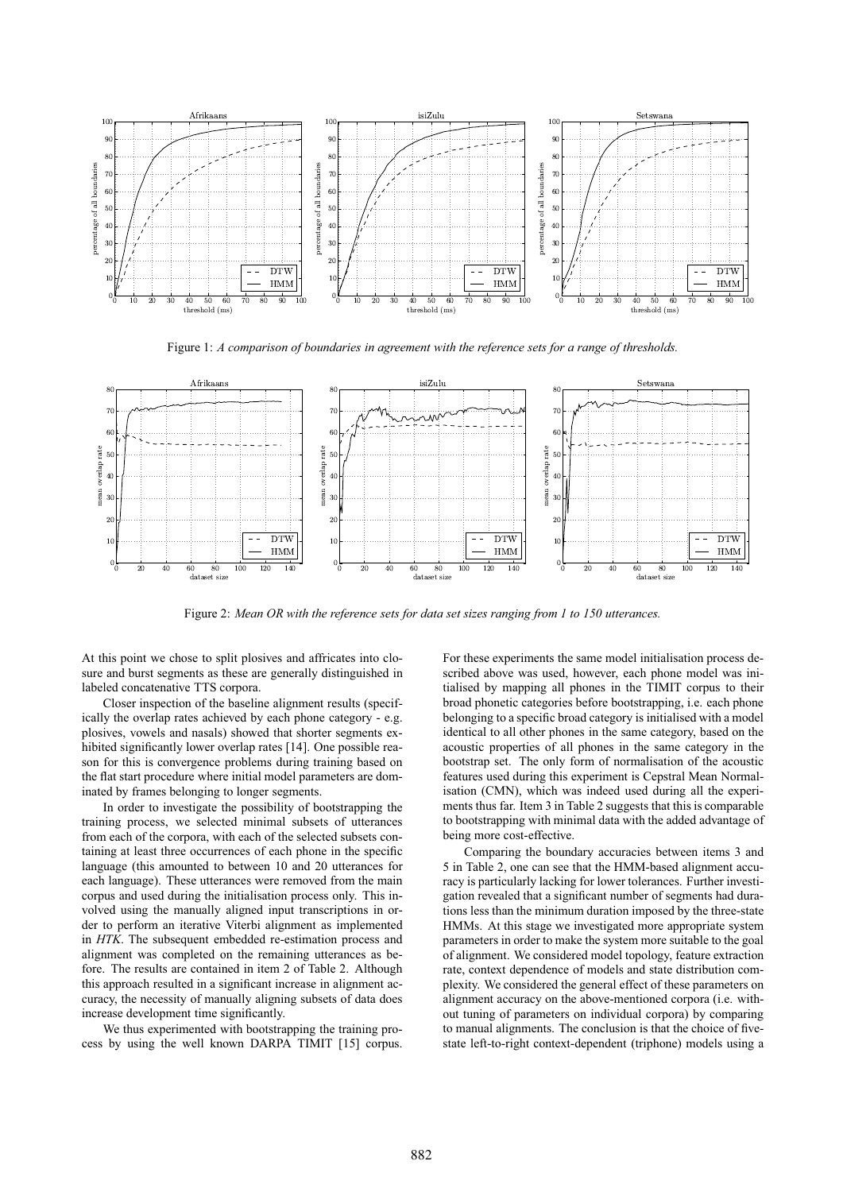

Figure 1: *A comparison of boundaries in agreement with the reference sets for a range of thresholds.*



Figure 2: *Mean OR with the reference sets for data set sizes ranging from 1 to 150 utterances.*

At this point we chose to split plosives and affricates into closure and burst segments as these are generally distinguished in labeled concatenative TTS corpora.

Closer inspection of the baseline alignment results (specifically the overlap rates achieved by each phone category - e.g. plosives, vowels and nasals) showed that shorter segments exhibited significantly lower overlap rates [14]. One possible reason for this is convergence problems during training based on the flat start procedure where initial model parameters are dominated by frames belonging to longer segments.

In order to investigate the possibility of bootstrapping the training process, we selected minimal subsets of utterances from each of the corpora, with each of the selected subsets containing at least three occurrences of each phone in the specific language (this amounted to between 10 and 20 utterances for each language). These utterances were removed from the main corpus and used during the initialisation process only. This involved using the manually aligned input transcriptions in order to perform an iterative Viterbi alignment as implemented in *HTK*. The subsequent embedded re-estimation process and alignment was completed on the remaining utterances as before. The results are contained in item 2 of Table 2. Although this approach resulted in a significant increase in alignment accuracy, the necessity of manually aligning subsets of data does increase development time significantly.

We thus experimented with bootstrapping the training process by using the well known DARPA TIMIT [15] corpus. For these experiments the same model initialisation process described above was used, however, each phone model was initialised by mapping all phones in the TIMIT corpus to their broad phonetic categories before bootstrapping, i.e. each phone belonging to a specific broad category is initialised with a model identical to all other phones in the same category, based on the acoustic properties of all phones in the same category in the bootstrap set. The only form of normalisation of the acoustic features used during this experiment is Cepstral Mean Normalisation (CMN), which was indeed used during all the experiments thus far. Item 3 in Table 2 suggests that this is comparable to bootstrapping with minimal data with the added advantage of being more cost-effective.

Comparing the boundary accuracies between items 3 and 5 in Table 2, one can see that the HMM-based alignment accuracy is particularly lacking for lower tolerances. Further investigation revealed that a significant number of segments had durations less than the minimum duration imposed by the three-state HMMs. At this stage we investigated more appropriate system parameters in order to make the system more suitable to the goal of alignment. We considered model topology, feature extraction rate, context dependence of models and state distribution complexity. We considered the general effect of these parameters on alignment accuracy on the above-mentioned corpora (i.e. without tuning of parameters on individual corpora) by comparing to manual alignments. The conclusion is that the choice of fivestate left-to-right context-dependent (triphone) models using a